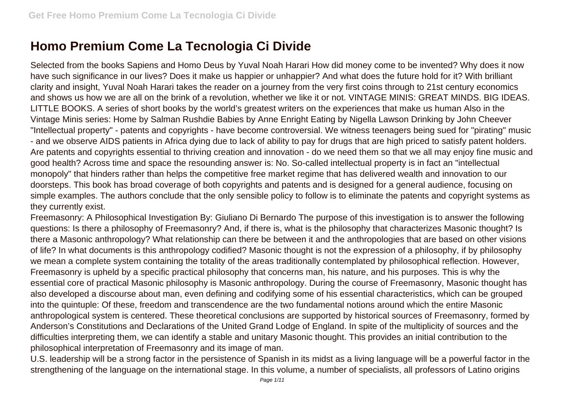## **Homo Premium Come La Tecnologia Ci Divide**

Selected from the books Sapiens and Homo Deus by Yuval Noah Harari How did money come to be invented? Why does it now have such significance in our lives? Does it make us happier or unhappier? And what does the future hold for it? With brilliant clarity and insight, Yuval Noah Harari takes the reader on a journey from the very first coins through to 21st century economics and shows us how we are all on the brink of a revolution, whether we like it or not. VINTAGE MINIS: GREAT MINDS. BIG IDEAS. LITTLE BOOKS. A series of short books by the world's greatest writers on the experiences that make us human Also in the Vintage Minis series: Home by Salman Rushdie Babies by Anne Enright Eating by Nigella Lawson Drinking by John Cheever "Intellectual property" - patents and copyrights - have become controversial. We witness teenagers being sued for "pirating" music - and we observe AIDS patients in Africa dying due to lack of ability to pay for drugs that are high priced to satisfy patent holders. Are patents and copyrights essential to thriving creation and innovation - do we need them so that we all may enjoy fine music and good health? Across time and space the resounding answer is: No. So-called intellectual property is in fact an "intellectual monopoly" that hinders rather than helps the competitive free market regime that has delivered wealth and innovation to our doorsteps. This book has broad coverage of both copyrights and patents and is designed for a general audience, focusing on simple examples. The authors conclude that the only sensible policy to follow is to eliminate the patents and copyright systems as they currently exist.

Freemasonry: A Philosophical Investigation By: Giuliano Di Bernardo The purpose of this investigation is to answer the following questions: Is there a philosophy of Freemasonry? And, if there is, what is the philosophy that characterizes Masonic thought? Is there a Masonic anthropology? What relationship can there be between it and the anthropologies that are based on other visions of life? In what documents is this anthropology codified? Masonic thought is not the expression of a philosophy, if by philosophy we mean a complete system containing the totality of the areas traditionally contemplated by philosophical reflection. However, Freemasonry is upheld by a specific practical philosophy that concerns man, his nature, and his purposes. This is why the essential core of practical Masonic philosophy is Masonic anthropology. During the course of Freemasonry, Masonic thought has also developed a discourse about man, even defining and codifying some of his essential characteristics, which can be grouped into the quintuple: Of these, freedom and transcendence are the two fundamental notions around which the entire Masonic anthropological system is centered. These theoretical conclusions are supported by historical sources of Freemasonry, formed by Anderson's Constitutions and Declarations of the United Grand Lodge of England. In spite of the multiplicity of sources and the difficulties interpreting them, we can identify a stable and unitary Masonic thought. This provides an initial contribution to the philosophical interpretation of Freemasonry and its image of man.

U.S. leadership will be a strong factor in the persistence of Spanish in its midst as a living language will be a powerful factor in the strengthening of the language on the international stage. In this volume, a number of specialists, all professors of Latino origins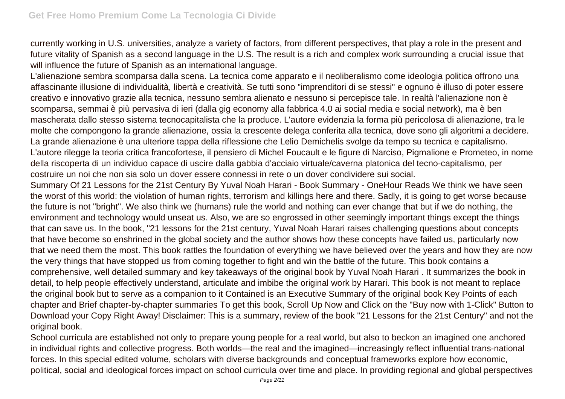currently working in U.S. universities, analyze a variety of factors, from different perspectives, that play a role in the present and future vitality of Spanish as a second language in the U.S. The result is a rich and complex work surrounding a crucial issue that will influence the future of Spanish as an international language.

L'alienazione sembra scomparsa dalla scena. La tecnica come apparato e il neoliberalismo come ideologia politica offrono una affascinante illusione di individualità, libertà e creatività. Se tutti sono "imprenditori di se stessi" e ognuno è illuso di poter essere creativo e innovativo grazie alla tecnica, nessuno sembra alienato e nessuno si percepisce tale. In realtà l'alienazione non è scomparsa, semmai è più pervasiva di ieri (dalla gig economy alla fabbrica 4.0 ai social media e social network), ma è ben mascherata dallo stesso sistema tecnocapitalista che la produce. L'autore evidenzia la forma più pericolosa di alienazione, tra le molte che compongono la grande alienazione, ossia la crescente delega conferita alla tecnica, dove sono gli algoritmi a decidere. La grande alienazione è una ulteriore tappa della riflessione che Lelio Demichelis svolge da tempo su tecnica e capitalismo. L'autore rilegge la teoria critica francofortese, il pensiero di Michel Foucault e le figure di Narciso, Pigmalione e Prometeo, in nome della riscoperta di un individuo capace di uscire dalla gabbia d'acciaio virtuale/caverna platonica del tecno-capitalismo, per costruire un noi che non sia solo un dover essere connessi in rete o un dover condividere sui social.

Summary Of 21 Lessons for the 21st Century By Yuval Noah Harari - Book Summary - OneHour Reads We think we have seen the worst of this world: the violation of human rights, terrorism and killings here and there. Sadly, it is going to get worse because the future is not "bright". We also think we (humans) rule the world and nothing can ever change that but if we do nothing, the environment and technology would unseat us. Also, we are so engrossed in other seemingly important things except the things that can save us. In the book, "21 lessons for the 21st century, Yuval Noah Harari raises challenging questions about concepts that have become so enshrined in the global society and the author shows how these concepts have failed us, particularly now that we need them the most. This book rattles the foundation of everything we have believed over the years and how they are now the very things that have stopped us from coming together to fight and win the battle of the future. This book contains a comprehensive, well detailed summary and key takeaways of the original book by Yuval Noah Harari . It summarizes the book in detail, to help people effectively understand, articulate and imbibe the original work by Harari. This book is not meant to replace the original book but to serve as a companion to it Contained is an Executive Summary of the original book Key Points of each chapter and Brief chapter-by-chapter summaries To get this book, Scroll Up Now and Click on the "Buy now with 1-Click" Button to Download your Copy Right Away! Disclaimer: This is a summary, review of the book "21 Lessons for the 21st Century" and not the original book.

School curricula are established not only to prepare young people for a real world, but also to beckon an imagined one anchored in individual rights and collective progress. Both worlds—the real and the imagined—increasingly reflect influential trans-national forces. In this special edited volume, scholars with diverse backgrounds and conceptual frameworks explore how economic, political, social and ideological forces impact on school curricula over time and place. In providing regional and global perspectives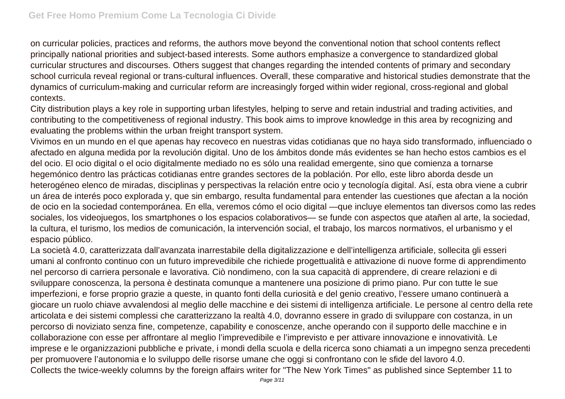on curricular policies, practices and reforms, the authors move beyond the conventional notion that school contents reflect principally national priorities and subject-based interests. Some authors emphasize a convergence to standardized global curricular structures and discourses. Others suggest that changes regarding the intended contents of primary and secondary school curricula reveal regional or trans-cultural influences. Overall, these comparative and historical studies demonstrate that the dynamics of curriculum-making and curricular reform are increasingly forged within wider regional, cross-regional and global contexts.

City distribution plays a key role in supporting urban lifestyles, helping to serve and retain industrial and trading activities, and contributing to the competitiveness of regional industry. This book aims to improve knowledge in this area by recognizing and evaluating the problems within the urban freight transport system.

Vivimos en un mundo en el que apenas hay recoveco en nuestras vidas cotidianas que no haya sido transformado, influenciado o afectado en alguna medida por la revolución digital. Uno de los ámbitos donde más evidentes se han hecho estos cambios es el del ocio. El ocio digital o el ocio digitalmente mediado no es sólo una realidad emergente, sino que comienza a tornarse hegemónico dentro las prácticas cotidianas entre grandes sectores de la población. Por ello, este libro aborda desde un heterogéneo elenco de miradas, disciplinas y perspectivas la relación entre ocio y tecnología digital. Así, esta obra viene a cubrir un área de interés poco explorada y, que sin embargo, resulta fundamental para entender las cuestiones que afectan a la noción de ocio en la sociedad contemporánea. En ella, veremos cómo el ocio digital —que incluye elementos tan diversos como las redes sociales, los videojuegos, los smartphones o los espacios colaborativos— se funde con aspectos que atañen al arte, la sociedad, la cultura, el turismo, los medios de comunicación, la intervención social, el trabajo, los marcos normativos, el urbanismo y el espacio público.

La società 4.0, caratterizzata dall'avanzata inarrestabile della digitalizzazione e dell'intelligenza artificiale, sollecita gli esseri umani al confronto continuo con un futuro imprevedibile che richiede progettualità e attivazione di nuove forme di apprendimento nel percorso di carriera personale e lavorativa. Ciò nondimeno, con la sua capacità di apprendere, di creare relazioni e di sviluppare conoscenza, la persona è destinata comunque a mantenere una posizione di primo piano. Pur con tutte le sue imperfezioni, e forse proprio grazie a queste, in quanto fonti della curiosità e del genio creativo, l'essere umano continuerà a giocare un ruolo chiave avvalendosi al meglio delle macchine e dei sistemi di intelligenza artificiale. Le persone al centro della rete articolata e dei sistemi complessi che caratterizzano la realtà 4.0, dovranno essere in grado di sviluppare con costanza, in un percorso di noviziato senza fine, competenze, capability e conoscenze, anche operando con il supporto delle macchine e in collaborazione con esse per affrontare al meglio l'imprevedibile e l'imprevisto e per attivare innovazione e innovatività. Le imprese e le organizzazioni pubbliche e private, i mondi della scuola e della ricerca sono chiamati a un impegno senza precedenti per promuovere l'autonomia e lo sviluppo delle risorse umane che oggi si confrontano con le sfide del lavoro 4.0. Collects the twice-weekly columns by the foreign affairs writer for "The New York Times" as published since September 11 to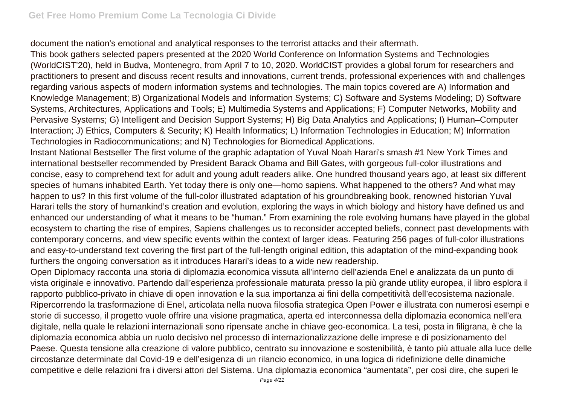document the nation's emotional and analytical responses to the terrorist attacks and their aftermath.

This book gathers selected papers presented at the 2020 World Conference on Information Systems and Technologies (WorldCIST'20), held in Budva, Montenegro, from April 7 to 10, 2020. WorldCIST provides a global forum for researchers and practitioners to present and discuss recent results and innovations, current trends, professional experiences with and challenges regarding various aspects of modern information systems and technologies. The main topics covered are A) Information and Knowledge Management; B) Organizational Models and Information Systems; C) Software and Systems Modeling; D) Software Systems, Architectures, Applications and Tools; E) Multimedia Systems and Applications; F) Computer Networks, Mobility and Pervasive Systems; G) Intelligent and Decision Support Systems; H) Big Data Analytics and Applications; I) Human–Computer Interaction; J) Ethics, Computers & Security; K) Health Informatics; L) Information Technologies in Education; M) Information Technologies in Radiocommunications; and N) Technologies for Biomedical Applications.

Instant National Bestseller The first volume of the graphic adaptation of Yuval Noah Harari's smash #1 New York Times and international bestseller recommended by President Barack Obama and Bill Gates, with gorgeous full-color illustrations and concise, easy to comprehend text for adult and young adult readers alike. One hundred thousand years ago, at least six different species of humans inhabited Earth. Yet today there is only one—homo sapiens. What happened to the others? And what may happen to us? In this first volume of the full-color illustrated adaptation of his groundbreaking book, renowned historian Yuval Harari tells the story of humankind's creation and evolution, exploring the ways in which biology and history have defined us and enhanced our understanding of what it means to be "human." From examining the role evolving humans have played in the global ecosystem to charting the rise of empires, Sapiens challenges us to reconsider accepted beliefs, connect past developments with contemporary concerns, and view specific events within the context of larger ideas. Featuring 256 pages of full-color illustrations and easy-to-understand text covering the first part of the full-length original edition, this adaptation of the mind-expanding book furthers the ongoing conversation as it introduces Harari's ideas to a wide new readership.

Open Diplomacy racconta una storia di diplomazia economica vissuta all'interno dell'azienda Enel e analizzata da un punto di vista originale e innovativo. Partendo dall'esperienza professionale maturata presso la più grande utility europea, il libro esplora il rapporto pubblico-privato in chiave di open innovation e la sua importanza ai fini della competitività dell'ecosistema nazionale. Ripercorrendo la trasformazione di Enel, articolata nella nuova filosofia strategica Open Power e illustrata con numerosi esempi e storie di successo, il progetto vuole offrire una visione pragmatica, aperta ed interconnessa della diplomazia economica nell'era digitale, nella quale le relazioni internazionali sono ripensate anche in chiave geo-economica. La tesi, posta in filigrana, è che la diplomazia economica abbia un ruolo decisivo nel processo di internazionalizzazione delle imprese e di posizionamento del Paese. Questa tensione alla creazione di valore pubblico, centrato su innovazione e sostenibilità, è tanto più attuale alla luce delle circostanze determinate dal Covid-19 e dell'esigenza di un rilancio economico, in una logica di ridefinizione delle dinamiche competitive e delle relazioni fra i diversi attori del Sistema. Una diplomazia economica "aumentata", per così dire, che superi le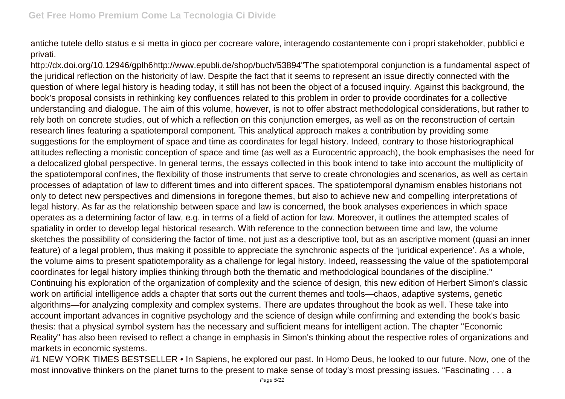antiche tutele dello status e si metta in gioco per cocreare valore, interagendo costantemente con i propri stakeholder, pubblici e privati.

http://dx.doi.org/10.12946/gplh6http://www.epubli.de/shop/buch/53894"The spatiotemporal conjunction is a fundamental aspect of the juridical reflection on the historicity of law. Despite the fact that it seems to represent an issue directly connected with the question of where legal history is heading today, it still has not been the object of a focused inquiry. Against this background, the book's proposal consists in rethinking key confluences related to this problem in order to provide coordinates for a collective understanding and dialogue. The aim of this volume, however, is not to offer abstract methodological considerations, but rather to rely both on concrete studies, out of which a reflection on this conjunction emerges, as well as on the reconstruction of certain research lines featuring a spatiotemporal component. This analytical approach makes a contribution by providing some suggestions for the employment of space and time as coordinates for legal history. Indeed, contrary to those historiographical attitudes reflecting a monistic conception of space and time (as well as a Eurocentric approach), the book emphasises the need for a delocalized global perspective. In general terms, the essays collected in this book intend to take into account the multiplicity of the spatiotemporal confines, the flexibility of those instruments that serve to create chronologies and scenarios, as well as certain processes of adaptation of law to different times and into different spaces. The spatiotemporal dynamism enables historians not only to detect new perspectives and dimensions in foregone themes, but also to achieve new and compelling interpretations of legal history. As far as the relationship between space and law is concerned, the book analyses experiences in which space operates as a determining factor of law, e.g. in terms of a field of action for law. Moreover, it outlines the attempted scales of spatiality in order to develop legal historical research. With reference to the connection between time and law, the volume sketches the possibility of considering the factor of time, not just as a descriptive tool, but as an ascriptive moment (quasi an inner feature) of a legal problem, thus making it possible to appreciate the synchronic aspects of the 'juridical experience'. As a whole, the volume aims to present spatiotemporality as a challenge for legal history. Indeed, reassessing the value of the spatiotemporal coordinates for legal history implies thinking through both the thematic and methodological boundaries of the discipline." Continuing his exploration of the organization of complexity and the science of design, this new edition of Herbert Simon's classic work on artificial intelligence adds a chapter that sorts out the current themes and tools—chaos, adaptive systems, genetic algorithms—for analyzing complexity and complex systems. There are updates throughout the book as well. These take into account important advances in cognitive psychology and the science of design while confirming and extending the book's basic thesis: that a physical symbol system has the necessary and sufficient means for intelligent action. The chapter "Economic Reality" has also been revised to reflect a change in emphasis in Simon's thinking about the respective roles of organizations and markets in economic systems.

#1 NEW YORK TIMES BESTSELLER • In Sapiens, he explored our past. In Homo Deus, he looked to our future. Now, one of the most innovative thinkers on the planet turns to the present to make sense of today's most pressing issues. "Fascinating . . . a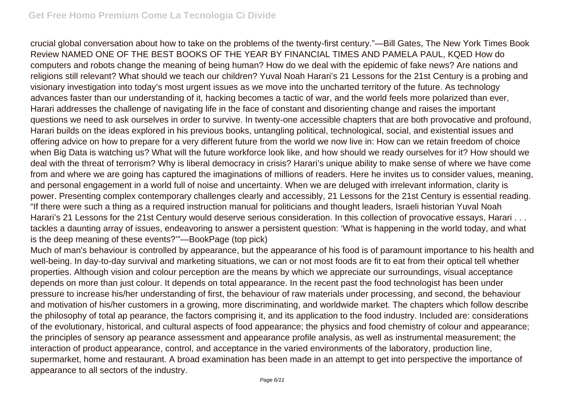crucial global conversation about how to take on the problems of the twenty-first century."—Bill Gates, The New York Times Book Review NAMED ONE OF THE BEST BOOKS OF THE YEAR BY FINANCIAL TIMES AND PAMELA PAUL, KQED How do computers and robots change the meaning of being human? How do we deal with the epidemic of fake news? Are nations and religions still relevant? What should we teach our children? Yuval Noah Harari's 21 Lessons for the 21st Century is a probing and visionary investigation into today's most urgent issues as we move into the uncharted territory of the future. As technology advances faster than our understanding of it, hacking becomes a tactic of war, and the world feels more polarized than ever, Harari addresses the challenge of navigating life in the face of constant and disorienting change and raises the important questions we need to ask ourselves in order to survive. In twenty-one accessible chapters that are both provocative and profound, Harari builds on the ideas explored in his previous books, untangling political, technological, social, and existential issues and offering advice on how to prepare for a very different future from the world we now live in: How can we retain freedom of choice when Big Data is watching us? What will the future workforce look like, and how should we ready ourselves for it? How should we deal with the threat of terrorism? Why is liberal democracy in crisis? Harari's unique ability to make sense of where we have come from and where we are going has captured the imaginations of millions of readers. Here he invites us to consider values, meaning, and personal engagement in a world full of noise and uncertainty. When we are deluged with irrelevant information, clarity is power. Presenting complex contemporary challenges clearly and accessibly, 21 Lessons for the 21st Century is essential reading. "If there were such a thing as a required instruction manual for politicians and thought leaders, Israeli historian Yuval Noah Harari's 21 Lessons for the 21st Century would deserve serious consideration. In this collection of provocative essays, Harari . . . tackles a daunting array of issues, endeavoring to answer a persistent question: 'What is happening in the world today, and what is the deep meaning of these events?'"—BookPage (top pick)

Much of man's behaviour is controlled by appearance, but the appearance of his food is of paramount importance to his health and well-being. In day-to-day survival and marketing situations, we can or not most foods are fit to eat from their optical tell whether properties. Although vision and colour perception are the means by which we appreciate our surroundings, visual acceptance depends on more than just colour. It depends on total appearance. In the recent past the food technologist has been under pressure to increase his/her understanding of first, the behaviour of raw materials under processing, and second, the behaviour and motivation of his/her customers in a growing, more discriminating, and worldwide market. The chapters which follow describe the philosophy of total ap pearance, the factors comprising it, and its application to the food industry. Included are: considerations of the evolutionary, historical, and cultural aspects of food appearance; the physics and food chemistry of colour and appearance; the principles of sensory ap pearance assessment and appearance profile analysis, as well as instrumental measurement; the interaction of product appearance, control, and acceptance in the varied environments of the laboratory, production line, supermarket, home and restaurant. A broad examination has been made in an attempt to get into perspective the importance of appearance to all sectors of the industry.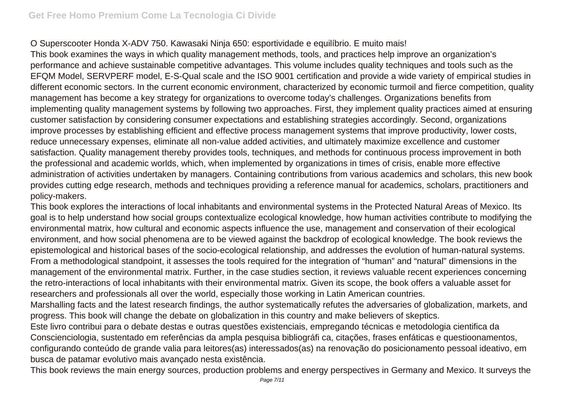## O Superscooter Honda X-ADV 750. Kawasaki Ninja 650: esportividade e equilíbrio. E muito mais!

This book examines the ways in which quality management methods, tools, and practices help improve an organization's performance and achieve sustainable competitive advantages. This volume includes quality techniques and tools such as the EFQM Model, SERVPERF model, E-S-Qual scale and the ISO 9001 certification and provide a wide variety of empirical studies in different economic sectors. In the current economic environment, characterized by economic turmoil and fierce competition, quality management has become a key strategy for organizations to overcome today's challenges. Organizations benefits from implementing quality management systems by following two approaches. First, they implement quality practices aimed at ensuring customer satisfaction by considering consumer expectations and establishing strategies accordingly. Second, organizations improve processes by establishing efficient and effective process management systems that improve productivity, lower costs, reduce unnecessary expenses, eliminate all non-value added activities, and ultimately maximize excellence and customer satisfaction. Quality management thereby provides tools, techniques, and methods for continuous process improvement in both the professional and academic worlds, which, when implemented by organizations in times of crisis, enable more effective administration of activities undertaken by managers. Containing contributions from various academics and scholars, this new book provides cutting edge research, methods and techniques providing a reference manual for academics, scholars, practitioners and policy-makers.

This book explores the interactions of local inhabitants and environmental systems in the Protected Natural Areas of Mexico. Its goal is to help understand how social groups contextualize ecological knowledge, how human activities contribute to modifying the environmental matrix, how cultural and economic aspects influence the use, management and conservation of their ecological environment, and how social phenomena are to be viewed against the backdrop of ecological knowledge. The book reviews the epistemological and historical bases of the socio-ecological relationship, and addresses the evolution of human-natural systems. From a methodological standpoint, it assesses the tools required for the integration of "human" and "natural" dimensions in the management of the environmental matrix. Further, in the case studies section, it reviews valuable recent experiences concerning the retro-interactions of local inhabitants with their environmental matrix. Given its scope, the book offers a valuable asset for researchers and professionals all over the world, especially those working in Latin American countries.

Marshalling facts and the latest research findings, the author systematically refutes the adversaries of globalization, markets, and progress. This book will change the debate on globalization in this country and make believers of skeptics.

Este livro contribui para o debate destas e outras questões existenciais, empregando técnicas e metodologia cientifica da Conscienciologia, sustentado em referências da ampla pesquisa bibliográfi ca, citações, frases enfáticas e questioonamentos, configurando conteúdo de grande valia para leitores(as) interessados(as) na renovação do posicionamento pessoal ideativo, em busca de patamar evolutivo mais avançado nesta existência.

This book reviews the main energy sources, production problems and energy perspectives in Germany and Mexico. It surveys the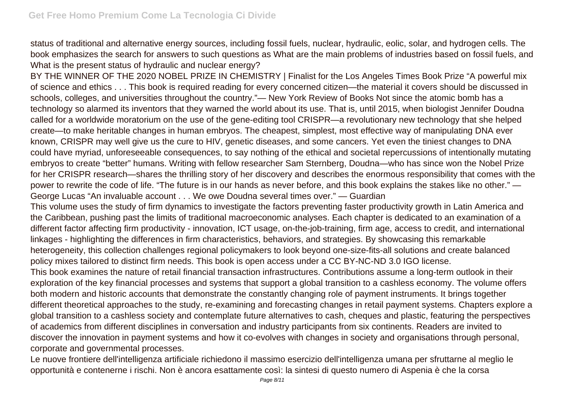status of traditional and alternative energy sources, including fossil fuels, nuclear, hydraulic, eolic, solar, and hydrogen cells. The book emphasizes the search for answers to such questions as What are the main problems of industries based on fossil fuels, and What is the present status of hydraulic and nuclear energy?

BY THE WINNER OF THE 2020 NOBEL PRIZE IN CHEMISTRY | Finalist for the Los Angeles Times Book Prize "A powerful mix of science and ethics . . . This book is required reading for every concerned citizen—the material it covers should be discussed in schools, colleges, and universities throughout the country."— New York Review of Books Not since the atomic bomb has a technology so alarmed its inventors that they warned the world about its use. That is, until 2015, when biologist Jennifer Doudna called for a worldwide moratorium on the use of the gene-editing tool CRISPR—a revolutionary new technology that she helped create—to make heritable changes in human embryos. The cheapest, simplest, most effective way of manipulating DNA ever known, CRISPR may well give us the cure to HIV, genetic diseases, and some cancers. Yet even the tiniest changes to DNA could have myriad, unforeseeable consequences, to say nothing of the ethical and societal repercussions of intentionally mutating embryos to create "better" humans. Writing with fellow researcher Sam Sternberg, Doudna—who has since won the Nobel Prize for her CRISPR research—shares the thrilling story of her discovery and describes the enormous responsibility that comes with the power to rewrite the code of life. "The future is in our hands as never before, and this book explains the stakes like no other." — George Lucas "An invaluable account . . . We owe Doudna several times over." — Guardian

This volume uses the study of firm dynamics to investigate the factors preventing faster productivity growth in Latin America and the Caribbean, pushing past the limits of traditional macroeconomic analyses. Each chapter is dedicated to an examination of a different factor affecting firm productivity - innovation, ICT usage, on-the-job-training, firm age, access to credit, and international linkages - highlighting the differences in firm characteristics, behaviors, and strategies. By showcasing this remarkable heterogeneity, this collection challenges regional policymakers to look beyond one-size-fits-all solutions and create balanced policy mixes tailored to distinct firm needs. This book is open access under a CC BY-NC-ND 3.0 IGO license.

This book examines the nature of retail financial transaction infrastructures. Contributions assume a long-term outlook in their exploration of the key financial processes and systems that support a global transition to a cashless economy. The volume offers both modern and historic accounts that demonstrate the constantly changing role of payment instruments. It brings together different theoretical approaches to the study, re-examining and forecasting changes in retail payment systems. Chapters explore a global transition to a cashless society and contemplate future alternatives to cash, cheques and plastic, featuring the perspectives of academics from different disciplines in conversation and industry participants from six continents. Readers are invited to discover the innovation in payment systems and how it co-evolves with changes in society and organisations through personal, corporate and governmental processes.

Le nuove frontiere dell'intelligenza artificiale richiedono il massimo esercizio dell'intelligenza umana per sfruttarne al meglio le opportunità e contenerne i rischi. Non è ancora esattamente così: la sintesi di questo numero di Aspenia è che la corsa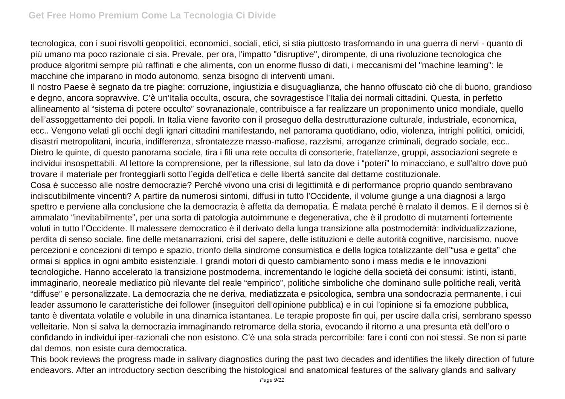tecnologica, con i suoi risvolti geopolitici, economici, sociali, etici, si stia piuttosto trasformando in una guerra di nervi - quanto di più umano ma poco razionale ci sia. Prevale, per ora, l'impatto "disruptive", dirompente, di una rivoluzione tecnologica che produce algoritmi sempre più raffinati e che alimenta, con un enorme flusso di dati, i meccanismi del "machine learning": le macchine che imparano in modo autonomo, senza bisogno di interventi umani.

Il nostro Paese è segnato da tre piaghe: corruzione, ingiustizia e disuguaglianza, che hanno offuscato ciò che di buono, grandioso e degno, ancora sopravvive. C'è un'Italia occulta, oscura, che sovragestisce l'Italia dei normali cittadini. Questa, in perfetto allineamento al "sistema di potere occulto" sovranazionale, contribuisce a far realizzare un proponimento unico mondiale, quello dell'assoggettamento dei popoli. In Italia viene favorito con il proseguo della destrutturazione culturale, industriale, economica, ecc.. Vengono velati gli occhi degli ignari cittadini manifestando, nel panorama quotidiano, odio, violenza, intrighi politici, omicidi, disastri metropolitani, incuria, indifferenza, sfrontatezze masso-mafiose, razzismi, arroganze criminali, degrado sociale, ecc.. Dietro le quinte, di questo panorama sociale, tira i fili una rete occulta di consorterie, fratellanze, gruppi, associazioni segrete e individui insospettabili. Al lettore la comprensione, per la riflessione, sul lato da dove i "poteri" lo minacciano, e sull'altro dove può trovare il materiale per fronteggiarli sotto l'egida dell'etica e delle libertà sancite dal dettame costituzionale.

Cosa è successo alle nostre democrazie? Perché vivono una crisi di legittimità e di performance proprio quando sembravano indiscutibilmente vincenti? A partire da numerosi sintomi, diffusi in tutto l'Occidente, il volume giunge a una diagnosi a largo spettro e perviene alla conclusione che la democrazia è affetta da demopatìa. È malata perché è malato il demos. E il demos si è ammalato "inevitabilmente", per una sorta di patologia autoimmune e degenerativa, che è il prodotto di mutamenti fortemente voluti in tutto l'Occidente. Il malessere democratico è il derivato della lunga transizione alla postmodernità: individualizzazione, perdita di senso sociale, fine delle metanarrazioni, crisi del sapere, delle istituzioni e delle autorità cognitive, narcisismo, nuove percezioni e concezioni di tempo e spazio, trionfo della sindrome consumistica e della logica totalizzante dell'"usa e getta" che ormai si applica in ogni ambito esistenziale. I grandi motori di questo cambiamento sono i mass media e le innovazioni tecnologiche. Hanno accelerato la transizione postmoderna, incrementando le logiche della società dei consumi: istinti, istanti, immaginario, neoreale mediatico più rilevante del reale "empirico", politiche simboliche che dominano sulle politiche reali, verità "diffuse" e personalizzate. La democrazia che ne deriva, mediatizzata e psicologica, sembra una sondocrazia permanente, i cui leader assumono le caratteristiche dei follower (inseguitori dell'opinione pubblica) e in cui l'opinione si fa emozione pubblica, tanto è diventata volatile e volubile in una dinamica istantanea. Le terapie proposte fin qui, per uscire dalla crisi, sembrano spesso velleitarie. Non si salva la democrazia immaginando retromarce della storia, evocando il ritorno a una presunta età dell'oro o confidando in individui iper-razionali che non esistono. C'è una sola strada percorribile: fare i conti con noi stessi. Se non si parte dal demos, non esiste cura democratica.

This book reviews the progress made in salivary diagnostics during the past two decades and identifies the likely direction of future endeavors. After an introductory section describing the histological and anatomical features of the salivary glands and salivary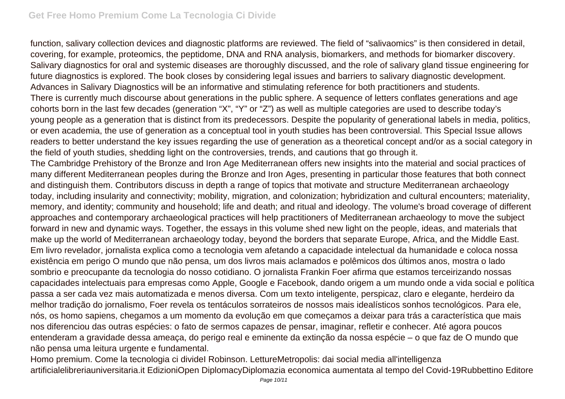function, salivary collection devices and diagnostic platforms are reviewed. The field of "salivaomics" is then considered in detail, covering, for example, proteomics, the peptidome, DNA and RNA analysis, biomarkers, and methods for biomarker discovery. Salivary diagnostics for oral and systemic diseases are thoroughly discussed, and the role of salivary gland tissue engineering for future diagnostics is explored. The book closes by considering legal issues and barriers to salivary diagnostic development. Advances in Salivary Diagnostics will be an informative and stimulating reference for both practitioners and students. There is currently much discourse about generations in the public sphere. A sequence of letters conflates generations and age cohorts born in the last few decades (generation "X", "Y" or "Z") as well as multiple categories are used to describe today's young people as a generation that is distinct from its predecessors. Despite the popularity of generational labels in media, politics, or even academia, the use of generation as a conceptual tool in youth studies has been controversial. This Special Issue allows readers to better understand the key issues regarding the use of generation as a theoretical concept and/or as a social category in the field of youth studies, shedding light on the controversies, trends, and cautions that go through it.

The Cambridge Prehistory of the Bronze and Iron Age Mediterranean offers new insights into the material and social practices of many different Mediterranean peoples during the Bronze and Iron Ages, presenting in particular those features that both connect and distinguish them. Contributors discuss in depth a range of topics that motivate and structure Mediterranean archaeology today, including insularity and connectivity; mobility, migration, and colonization; hybridization and cultural encounters; materiality, memory, and identity; community and household; life and death; and ritual and ideology. The volume's broad coverage of different approaches and contemporary archaeological practices will help practitioners of Mediterranean archaeology to move the subject forward in new and dynamic ways. Together, the essays in this volume shed new light on the people, ideas, and materials that make up the world of Mediterranean archaeology today, beyond the borders that separate Europe, Africa, and the Middle East. Em livro revelador, jornalista explica como a tecnologia vem afetando a capacidade intelectual da humanidade e coloca nossa existência em perigo O mundo que não pensa, um dos livros mais aclamados e polêmicos dos últimos anos, mostra o lado sombrio e preocupante da tecnologia do nosso cotidiano. O jornalista Frankin Foer afirma que estamos terceirizando nossas capacidades intelectuais para empresas como Apple, Google e Facebook, dando origem a um mundo onde a vida social e política passa a ser cada vez mais automatizada e menos diversa. Com um texto inteligente, perspicaz, claro e elegante, herdeiro da melhor tradição do jornalismo, Foer revela os tentáculos sorrateiros de nossos mais idealísticos sonhos tecnológicos. Para ele, nós, os homo sapiens, chegamos a um momento da evolução em que começamos a deixar para trás a característica que mais nos diferenciou das outras espécies: o fato de sermos capazes de pensar, imaginar, refletir e conhecer. Até agora poucos entenderam a gravidade dessa ameaça, do perigo real e eminente da extinção da nossa espécie – o que faz de O mundo que não pensa uma leitura urgente e fundamental.

Homo premium. Come la tecnologia ci divideI Robinson. LettureMetropolis: dai social media all'intelligenza artificialelibreriauniversitaria.it EdizioniOpen DiplomacyDiplomazia economica aumentata al tempo del Covid-19Rubbettino Editore